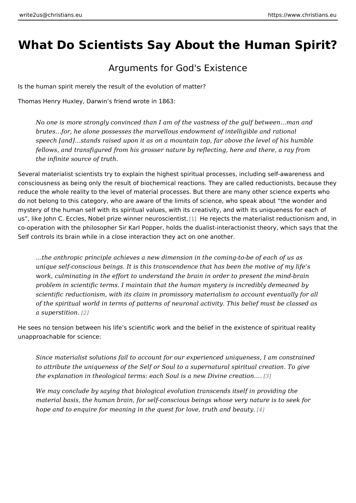## What Do Scientists Say About the Humar

## Arguments for God's Existence

Is the human spirit merely the result of the evolution of matter? Thomas Henry Huxley, Darwin s friend wrote in 1863:

No one is more strongly convinced than I am of the vastness of the gulf be brutes & for, he alone possesses the marvellous endowment of intelligible a speech [and] & stands raised upon it as on a mountain top, far above the level fellows, and transfigured from his grosser nature by reflecting, here and the the infinite source of truth.

Several materialist scientists try to explain the highest spiritual processes, incl consciousness as being only the result of biochemical reactions. They are called reduce the whole reality to the level of material processes. But there are many o do not belong to this category, who are aware of the limits of science, who spea mystery of the human self with its spiritual values, with its creativity, and with i us , like John C. Eccles, Nobel prize wi[nne](#page-2-0)t rheeue pescustrinist materialist reductionis co-operation with the philosopher Sir Karl Popper, holds the dualist-interactioni Self controls its brain while in a close interaction they act on one another.

& the anthropic principle achieves a new dimension in the coming-to-be of  $\epsilon$ unique self-conscious beings. It is this transcendence that has been the m work, culminating in the effort to understand the brain in order to present problem in scientific terms. I maintain that the human mystery is incredibly scientific reductionism, with its claim in promissory materialism to account of the spiritual world in terms of patterns of neuronal activity. This belief a superstitizon.

He sees no tension between his life s scientific work and the belief in the existe unapproachable for science:

Since materialist solutions fail to account for our experienced uniqueness, to attribute the uniqueness of the Self or Soul to a supernatural spiritual  $\alpha$ the explanation in theological terms: each Soul is a n@w Divine creation.&

We may conclude by saying that biological evolution transcends itself in p material basis, the human brain, for self-conscious beings whose very nature is to see to sell for sell for se hope and to enquire for meaning in the quest for lo[ve,](#page-2-0) truth and beauty.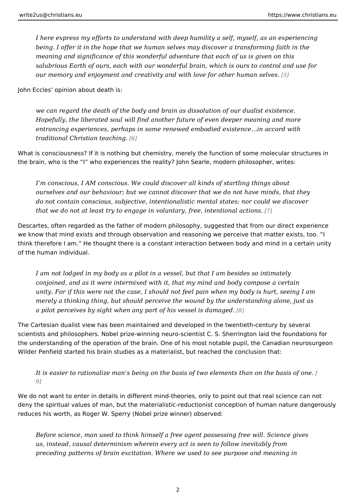I here express my efforts to understand with deep humility a self, myself, being. I offer it in the hope that we human selves may discover a transform meaning and significance of this wonderful adventure that each of us is given salubrious Earth of ours, each with our wonderful brain, which is ours to c our memory and enjoyment and creativity and with love fo 5]other human se

John Eccles opinion about death is:

we can regard the death of the body and brain as dissolution of our dualist Hopefully, the liberated soul will find another future of even deeper meani entrancing experiences, perhaps in some renewed embodied existence&in a traditional Christian te@aching.

What is consciousness? If it is nothing but chemistry, merely the function of son the brain, who is the I who experiences the reality? John Searle, modern philos

I m conscious, I AM conscious. We could discover all kinds of startling thi ourselves and our behaviour; but we cannot discover that we do not have n do not contain conscious, subjective, intentionalistic mental states; nor co that we do not at least try to engage in voluntary, free intentional actions

Descartes, often regarded as the father of modern philosophy, suggested that from we know that mind exists and through observation and reasoning we perceive that think therefore I am. He thought there is a constant interaction between body a of the human individual.

I am not lodged in my body as a pilot in a vessel, but that I am besides so conjoined, and as it were intermixed with it, that my mind and body compo: unity. For if this were not the case, I should not feel pain when my body is merely a thinking thing, but should perceive the wound by the understandir a pilot perceives by sight when any part of his  $%$  essel is damaged.

The Cartesian dualist view has been maintained and developed in the twentieth-or scientists and philosophers. Nobel prize-winning neuro-scientist C. S. Sherringto the understanding of the operation of the brain. One of his most notable pupil, t Wilder Penfield started his brain studies as a materialist, but reached the conclu

It is easier to rationalize man s being on the basis of two eleme[nts](#page-2-0) than o 9]

We do not want to enter in details in different mind-theories, only to point out th deny the spiritual values of man, but the materialistic-reductionist conception of reduces his worth, as Roger W. Sperry (Nobel prize winner) observed:

Before science, man used to think himself a free agent possessing free wil us, instead, causal determinism wherein every act is seen to follow inevita preceding patterns of brain excitation. Where we used to see purpose and